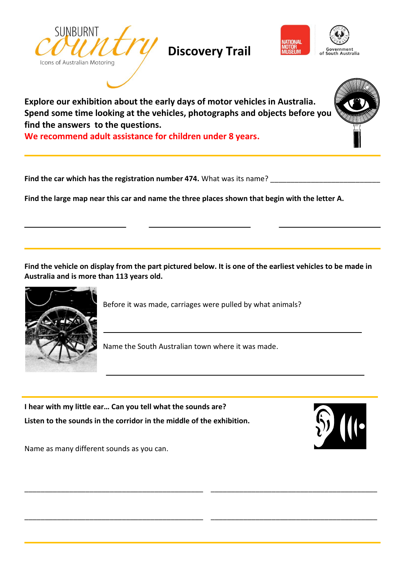

**Discovery Trail**



**Explore our exhibition about the early days of motor vehicles in Australia. Spend some time looking at the vehicles, photographs and objects before you find the answers to the questions.**

**We recommend adult assistance for children under 8 years.**

**Find the car which has the registration number 474.** What was its name?

**Find the large map near this car and name the three places shown that begin with the letter A.**

**Find the vehicle on display from the part pictured below. It is one of the earliest vehicles to be made in Australia and is more than 113 years old.**



Before it was made, carriages were pulled by what animals?

Name the South Australian town where it was made.

**I hear with my little ear… Can you tell what the sounds are? Listen to the sounds in the corridor in the middle of the exhibition.** 



\_\_\_\_\_\_\_\_\_\_\_\_\_\_\_\_\_\_\_\_\_\_\_\_\_\_\_\_\_\_\_\_\_\_\_\_\_\_\_\_\_

\_\_\_\_\_\_\_\_\_\_\_\_\_\_\_\_\_\_\_\_\_\_\_\_\_\_\_\_\_\_\_\_\_\_\_\_\_\_\_\_\_

Name as many different sounds as you can.

\_\_\_\_\_\_\_\_\_\_\_\_\_\_\_\_\_\_\_\_\_\_\_\_\_\_\_\_\_\_\_\_\_\_\_\_\_\_\_\_\_\_\_\_

\_\_\_\_\_\_\_\_\_\_\_\_\_\_\_\_\_\_\_\_\_\_\_\_\_\_\_\_\_\_\_\_\_\_\_\_\_\_\_\_\_\_\_\_